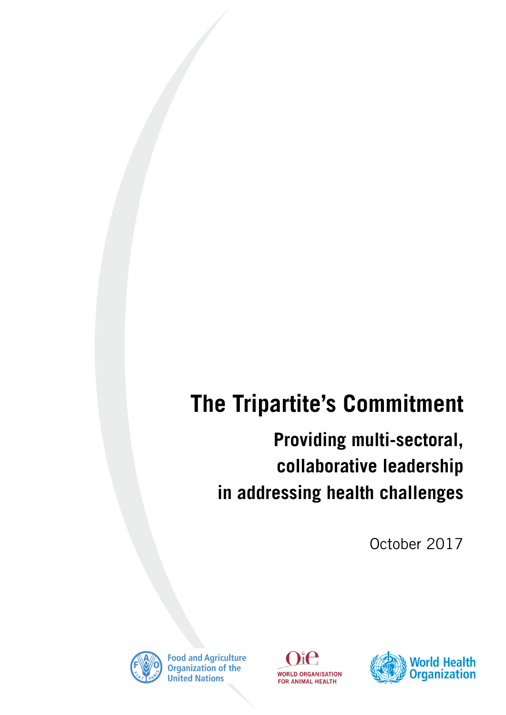# **The Tripartite's Commitment**

## **Providing multi-sectoral, collaborative leadership in addressing health challenges**

October 2017



**Food and Agriculture**<br>Organization of the **United Nations** 



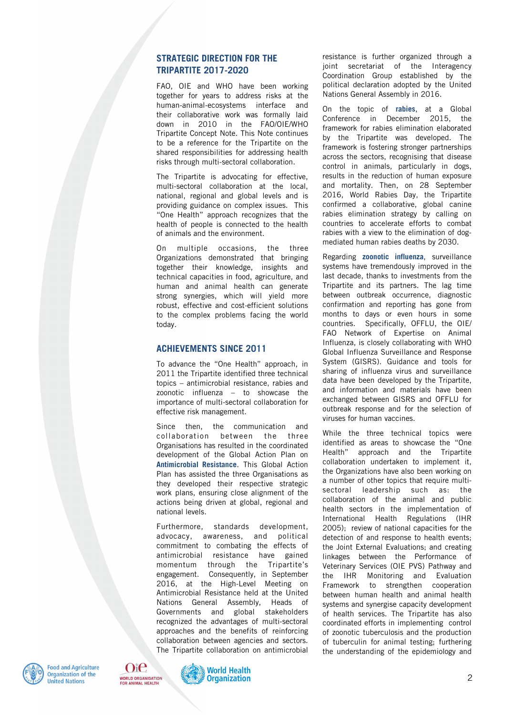#### **STRATEGIC DIRECTION FOR THE TRIPARTITE 2017-2020**

FAO, OIE and WHO have been working together for years to address risks at the human-animal-ecosystems interface and their collaborative work was formally laid down in 2010 in the FAO/OIE/WHO Tripartite Concept Note. This Note continues to be a reference for the Tripartite on the shared responsibilities for addressing health risks through multi-sectoral collaboration.

The Tripartite is advocating for effective, multi-sectoral collaboration at the local, national, regional and global levels and is providing guidance on complex issues. This "One Health" approach recognizes that the health of people is connected to the health of animals and the environment.

On multiple occasions, the three Organizations demonstrated that bringing together their knowledge, insights and technical capacities in food, agriculture, and human and animal health can generate strong synergies, which will yield more robust, effective and cost-efficient solutions to the complex problems facing the world today.

#### **ACHIEVEMENTS SINCE 2011**

To advance the "One Health" approach, in 2011 the Tripartite identified three technical topics – antimicrobial resistance, rabies and zoonotic influenza – to showcase the importance of multi-sectoral collaboration for effective risk management.

Since then, the communication and collaboration between the three Organisations has resulted in the coordinated development of the Global Action Plan on **Antimicrobial Resistance**. This Global Action Plan has assisted the three Organisations as they developed their respective strategic work plans, ensuring close alignment of the actions being driven at global, regional and national levels.

Furthermore, standards development, advocacy, awareness, and political commitment to combating the effects of antimicrobial resistance have gained momentum through the Tripartite's engagement. Consequently, in September 2016, at the High-Level Meeting on Antimicrobial Resistance held at the United Nations General Assembly, Heads of Governments and global stakeholders recognized the advantages of multi-sectoral approaches and the benefits of reinforcing collaboration between agencies and sectors. The Tripartite collaboration on antimicrobial

resistance is further organized through a joint secretariat of the Interagency Coordination Group established by the political declaration adopted by the United Nations General Assembly in 2016.

On the topic of **rabies**, at a Global Conference in December 2015, the framework for rabies elimination elaborated by the Tripartite was developed. The framework is fostering stronger partnerships across the sectors, recognising that disease control in animals, particularly in dogs, results in the reduction of human exposure and mortality. Then, on 28 September 2016, World Rabies Day, the Tripartite confirmed a collaborative, global canine rabies elimination strategy by calling on countries to accelerate efforts to combat rabies with a view to the elimination of dogmediated human rabies deaths by 2030.

Regarding **zoonotic influenza**, surveillance systems have tremendously improved in the last decade, thanks to investments from the Tripartite and its partners. The lag time between outbreak occurrence, diagnostic confirmation and reporting has gone from months to days or even hours in some countries. Specifically, OFFLU, the OIE/ FAO Network of Expertise on Animal Influenza, is closely collaborating with WHO Global Influenza Surveillance and Response System (GISRS). Guidance and tools for sharing of influenza virus and surveillance data have been developed by the Tripartite, and information and materials have been exchanged between GISRS and OFFLU for outbreak response and for the selection of viruses for human vaccines.

While the three technical topics were identified as areas to showcase the "One Health" approach and the Tripartite collaboration undertaken to implement it, the Organizations have also been working on a number of other topics that require multisectoral leadership such as: the collaboration of the animal and public health sectors in the implementation of International Health Regulations (IHR 2005); review of national capacities for the detection of and response to health events; the Joint External Evaluations; and creating linkages between the Performance of Veterinary Services (OIE PVS) Pathway and the IHR Monitoring and Evaluation Framework to strengthen cooperation between human health and animal health systems and synergise capacity development of health services. The Tripartite has also coordinated efforts in implementing control of zoonotic tuberculosis and the production of tuberculin for animal testing; furthering the understanding of the epidemiology and





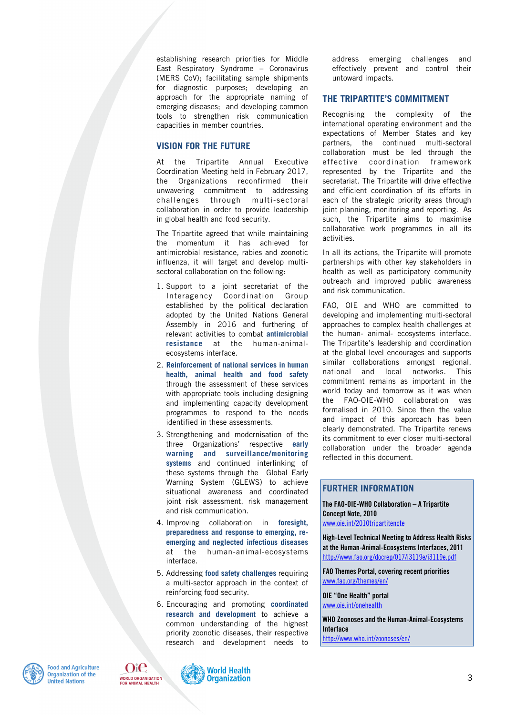establishing research priorities for Middle East Respiratory Syndrome – Coronavirus (MERS CoV); facilitating sample shipments for diagnostic purposes; developing an approach for the appropriate naming of emerging diseases; and developing common tools to strengthen risk communication capacities in member countries.

#### **VISION FOR THE FUTURE**

At the Tripartite Annual Executive Coordination Meeting held in February 2017, the Organizations reconfirmed their unwavering commitment to addressing challenges through multi-sectoral collaboration in order to provide leadership in global health and food security.

The Tripartite agreed that while maintaining the momentum it has achieved for antimicrobial resistance, rabies and zoonotic influenza, it will target and develop multisectoral collaboration on the following:

- 1. Support to a joint secretariat of the Interagency Coordination Group established by the political declaration adopted by the United Nations General Assembly in 2016 and furthering of relevant activities to combat **antimicrobial resistance** at the human-animalecosystems interface.
- 2. **Reinforcement of national services in human health, animal health and food safety** through the assessment of these services with appropriate tools including designing and implementing capacity development programmes to respond to the needs identified in these assessments.
- 3. Strengthening and modernisation of the three Organizations' respective **early warning and surveillance/monitoring systems** and continued interlinking of these systems through the Global Early Warning System (GLEWS) to achieve situational awareness and coordinated joint risk assessment, risk management and risk communication.
- 4. Improving collaboration in **foresight, preparedness and response to emerging, reemerging and neglected infectious diseases** at the human-animal-ecosystems interface.
- 5. Addressing **food safety challenges** requiring a multi-sector approach in the context of reinforcing food security.
- 6. Encouraging and promoting **coordinated research and development** to achieve a common understanding of the highest priority zoonotic diseases, their respective research and development needs to

address emerging challenges and effectively prevent and control their untoward impacts.

#### **THE TRIPARTITE'S COMMITMENT**

Recognising the complexity of the international operating environment and the expectations of Member States and key partners, the continued multi-sectoral collaboration must be led through the effective coordination framework represented by the Tripartite and the secretariat. The Tripartite will drive effective and efficient coordination of its efforts in each of the strategic priority areas through joint planning, monitoring and reporting. As such, the Tripartite aims to maximise collaborative work programmes in all its activities.

In all its actions, the Tripartite will promote partnerships with other key stakeholders in health as well as participatory community outreach and improved public awareness and risk communication.

FAO, OIE and WHO are committed to developing and implementing multi-sectoral approaches to complex health challenges at the human- animal- ecosystems interface. The Tripartite's leadership and coordination at the global level encourages and supports similar collaborations amongst regional, national and local networks. This commitment remains as important in the world today and tomorrow as it was when the FAO-OIE-WHO collaboration was formalised in 2010. Since then the value and impact of this approach has been clearly demonstrated. The Tripartite renews its commitment to ever closer multi-sectoral collaboration under the broader agenda reflected in this document.

### **FURTHER INFORMATION**

**The FAO-OIE-WHO Collaboration – A Tripartite Concept Note, 2010**  www.oie.int/2010tripartitenote

**High-Level Technical Meeting to Address Health Risks at the Human-Animal-Ecosystems Interfaces, 2011**  http://www.fao.org/docrep/017/i3119e/i3119e.pdf

**FAO Themes Portal, covering recent priorities**  www.fao.org/themes/en/

**OIE "One Health" portal**  www.oie.int/onehealth

**WHO Zoonoses and the Human-Animal-Ecosystems Interface**  http://www.who.int/zoonoses/en/